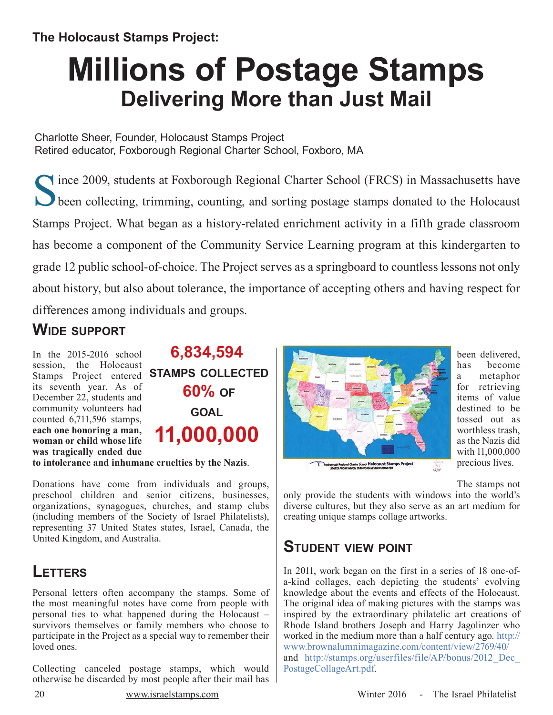#### **The Holocaust Stamps Project:**

# **Millions of Postage Stamps Delivering More than Just Mail**

Charlotte Sheer, Founder, Holocaust Stamps Project Retired educator, Foxborough Regional Charter School, Foxboro, MA

Since 2009, students at Foxborough Regional Charter School (FRCS) in Massachusetts have<br>been collecting, trimming, counting, and sorting postage stamps donated to the Holocaust been collecting, trimming, counting, and sorting postage stamps donated to the Holocaust Stamps Project. What began as a history-related enrichment activity in a fifth grade classroom has become a component of the Community Service Learning program at this kindergarten to grade 12 public school-of-choice. The Project serves as a springboard to countless lessons not only about history, but also about tolerance, the importance of accepting others and having respect for differences among individuals and groups.

# **Wide support**

In the 2015-2016 school session, the Holocaust its seventh year. As of December 22, students and community volunteers had counted 6,711,596 stamps, **each one honoring a man, woman or child whose life was tragically ended due** 



**to intolerance and inhumane cruelties by the Nazis**.

Donations have come from individuals and groups, preschool children and senior citizens, businesses, organizations, synagogues, churches, and stamp clubs (including members of the Society of Israel Philatelists), representing 37 United States states, Israel, Canada, the United Kingdom, and Australia.

# **Letters**

Personal letters often accompany the stamps. Some of the most meaningful notes have come from people with personal ties to what happened during the Holocaust – survivors themselves or family members who choose to participate in the Project as a special way to remember their loved ones.

Collecting canceled postage stamps, which would otherwise be discarded by most people after their mail has



been delivered, has become a metaphor for retrieving items of value destined to be tossed out as worthless trash, as the Nazis did with 11,000,000 precious lives.

The stamps not

only provide the students with windows into the world's diverse cultures, but they also serve as an art medium for creating unique stamps collage artworks.

#### **Student view point**

In 2011, work began on the first in a series of 18 one-ofa-kind collages, each depicting the students' evolving knowledge about the events and effects of the Holocaust. The original idea of making pictures with the stamps was inspired by the extraordinary philatelic art creations of Rhode Island brothers Joseph and Harry Jagolinzer who worked in the medium more than a half century ago. http:// www.brownalumnimagazine.com/content/view/2769/40/ and http://stamps.org/userfiles/file/AP/bonus/2012\_Dec\_ PostageCollageArt.pdf.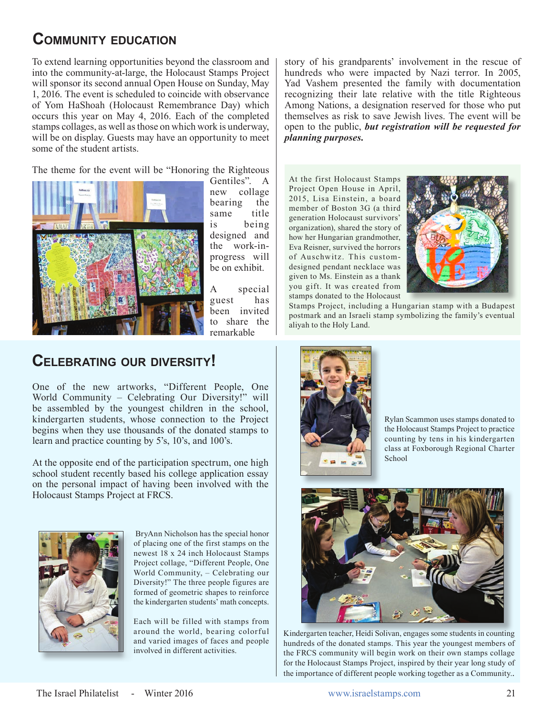#### **Community education**

To extend learning opportunities beyond the classroom and into the community-at-large, the Holocaust Stamps Project will sponsor its second annual Open House on Sunday, May 1, 2016. The event is scheduled to coincide with observance of Yom HaShoah (Holocaust Remembrance Day) which occurs this year on May 4, 2016. Each of the completed stamps collages, as well asthose on which work is underway, will be on display. Guests may have an opportunity to meet some of the student artists.

The theme for the event will be "Honoring the Righteous



Gentiles". A new collage bearing the same title is being designed and the work-inprogress will be on exhibit.

A special guest has been invited to share the remarkable

# **Celebrating our diversity!**

One of the new artworks, "Different People, One World Community – Celebrating Our Diversity!" will be assembled by the youngest children in the school, kindergarten students, whose connection to the Project begins when they use thousands of the donated stamps to learn and practice counting by 5's, 10's, and 100's.

At the opposite end of the participation spectrum, one high school student recently based his college application essay on the personal impact of having been involved with the Holocaust Stamps Project at FRCS.



BryAnn Nicholson has the special honor of placing one of the first stamps on the newest 18 x 24 inch Holocaust Stamps Project collage, "Different People, One World Community, – Celebrating our Diversity!" The three people figures are formed of geometric shapes to reinforce the kindergarten students' math concepts.

Each will be filled with stamps from around the world, bearing colorful and varied images of faces and people involved in different activities.

story of his grandparents' involvement in the rescue of hundreds who were impacted by Nazi terror. In 2005, Yad Vashem presented the family with documentation recognizing their late relative with the title Righteous Among Nations, a designation reserved for those who put themselves as risk to save Jewish lives. The event will be open to the public, *but registration will be requested for planning purposes.*

At the first Holocaust Stamps Project Open House in April, 2015, Lisa Einstein, a board member of Boston 3G (a third generation Holocaust survivors' organization), shared the story of how her Hungarian grandmother, Eva Reisner, survived the horrors of Auschwitz. This customdesigned pendant necklace was given to Ms. Einstein as a thank you gift. It was created from stamps donated to the Holocaust



Stamps Project, including a Hungarian stamp with a Budapest postmark and an Israeli stamp symbolizing the family's eventual aliyah to the Holy Land.



Rylan Scammon uses stamps donated to the Holocaust Stamps Project to practice counting by tens in his kindergarten class at Foxborough Regional Charter School



Kindergarten teacher, Heidi Solivan, engages some students in counting hundreds of the donated stamps. This year the youngest members of the FRCS community will begin work on their own stamps collage for the Holocaust Stamps Project, inspired by their year long study of the importance of different people working together as a Community..